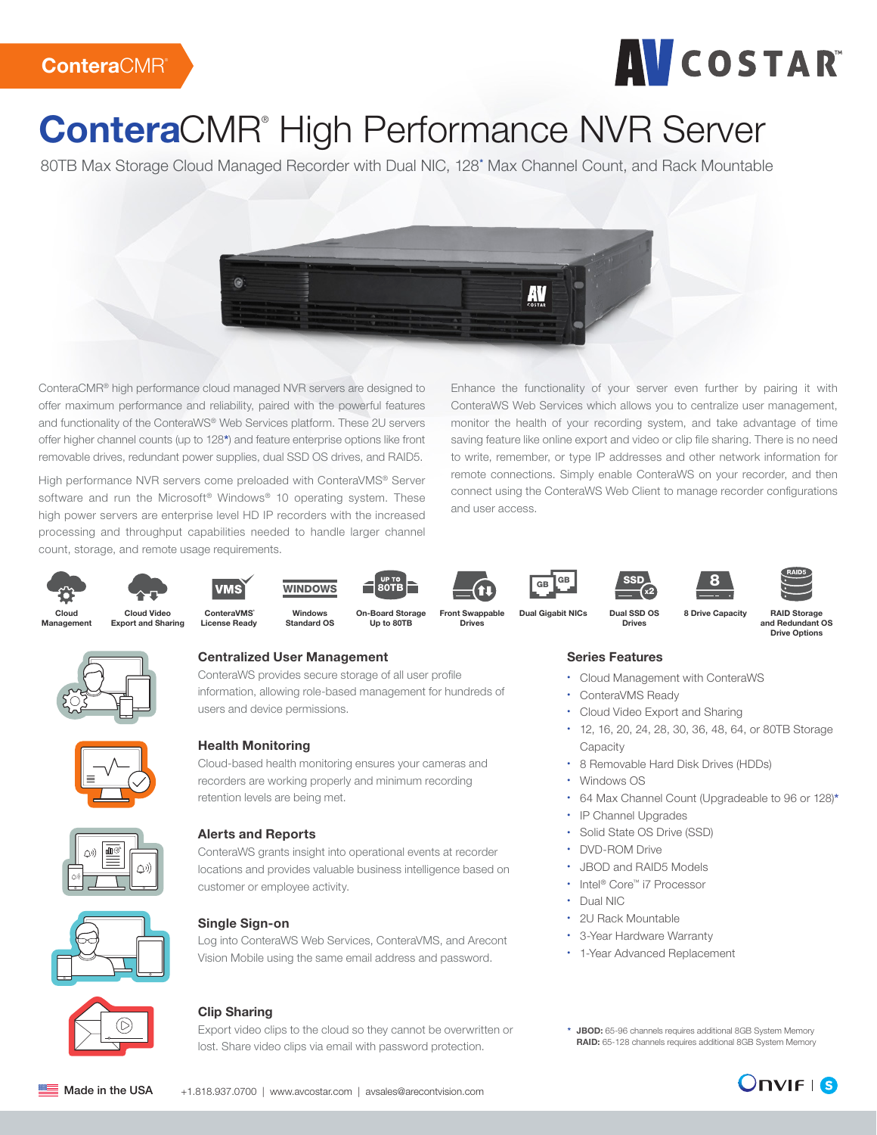# **AVCOSTAR**

# ConteraCMR<sup>®</sup> High Performance NVR Server

80TB Max Storage Cloud Managed Recorder with Dual NIC, 128\* Max Channel Count, and Rack Mountable



ConteraCMR® high performance cloud managed NVR servers are designed to offer maximum performance and reliability, paired with the powerful features and functionality of the ConteraWS® Web Services platform. These 2U servers offer higher channel counts (up to 128\*) and feature enterprise options like front removable drives, redundant power supplies, dual SSD OS drives, and RAID5.

High performance NVR servers come preloaded with ConteraVMS® Server software and run the Microsoft® Windows® 10 operating system. These high power servers are enterprise level HD IP recorders with the increased processing and throughput capabilities needed to handle larger channel count, storage, and remote usage requirements.

Enhance the functionality of your server even further by pairing it with ConteraWS Web Services which allows you to centralize user management, monitor the health of your recording system, and take advantage of time saving feature like online export and video or clip file sharing. There is no need to write, remember, or type IP addresses and other network information for remote connections. Simply enable ConteraWS on your recorder, and then connect using the ConteraWS Web Client to manage recorder configurations and user access.











Up to 80TB











Management



Drives



Dual SSD OS x2











Drives



Cloud Video Export and Sharing

ConteraVMS<sup>®</sup> License Ready



Dual Gigabit NICs

RAID Storage



#### **Centralized User Management**

ConteraWS provides secure storage of all user profile information, allowing role-based management for hundreds of users and device permissions. your customers, they also help reduce support calls. ConteraWS® eliminates the need in the device list of every user with permissions to view the device.



#### **Health Monitoring**

Cloud-based health monitoring ensures your cameras and recorders are working properly and minimum recording retention levels are being met. the recorder hardware, cameras, or online access. Reinforce the value of service you can proactively contact a customer and correct the problem.



#### Alerts and Reports **AND EMAIL SHARING**  $\mathcal{L}_{\text{max}}$  customers, they also help reduce support calls. ContenaNS® eliminates the needed needed needed needed needed needed needed needed needed needed needed needed needed needed needed needed needed needed needed

ConteraWS grants insight into operational events at recorder locations and provides valuable business intelligence based on customer or employee activity. exporting, and distributing recorded video. Intuitive search tools make finding video cootonic whether clips can be downly. Conteravy grants insignt into operational events at in the device list of every user with permissions to view the device.



#### Single Sign-on NETWORK AND CYBER SECURITY

 $\mathcal S$  Sing-On and Central User Management are not only convenient time satisfactory convenient time savers for  $\mathcal S$ Log into Conteraws web services, ConteraWNS, and A Vision Mobile using the same email address and passw applies. When a new recorder is added to  $C$  is added to  $C$  is added to  $C$ Log into conteraWS web services, conteraWNS, and r the recorder hardware, cameras, or online access. Reinforce the value of service Log into ConteraWS Web Services, ConteraVMS, and Arecont Vision Mobile using the same email address and password.



#### Clip Sharing Web Services can significantly reduce the time users spend reviewing, and the time users spend reviewing, and the time users spend reviewing, and the time users spend reviewing, and the time users spend review exporting, and distributing recorded video. Intuitive search tools make finding video

Export video clips to the cloud so they cannot be overwritten or lost. Share video clips via email with password protection. export video clips to the cloud so they cannot be overv monthly basis. Your technicians can also be notified of health alerts in real time, so Loot. Share video elips via email with personaged protect control whether clips can be downloaded by recipients. It doesn't get any easier

 $\mathcal{L}_{\mathcal{S}}$  we see Services can significantly reduce the time users spend reduce the time users spend reviewing,

ConteraWS® recorders establish a trusted outbound connection with the ConteraWS®

## 8 Drive Capacity

#### and Redundant OS Drive Options

### Series Features

- Cloud Management with ConteraWS
- ConteraVMS Ready
- Cloud Video Export and Sharing
- 12, 16, 20, 24, 28, 30, 36, 48, 64, or 80TB Storage **Capacity**
- 8 Removable Hard Disk Drives (HDDs)
- Windows OS
- 64 Max Channel Count (Upgradeable to 96 or 128)\*
- IP Channel Upgrades
- Solid State OS Drive (SSD)
- DVD-ROM Drive
- JBOD and RAID5 Models
- Intel® Core™ i7 Processor
- Dual NIC
- 2U Rack Mountable
- 3-Year Hardware Warranty
- 1-Year Advanced Replacement
- \* JBOD: 65-96 channels requires additional 8GB System Memory RAID: 65-128 channels requires additional 8GB System Memory



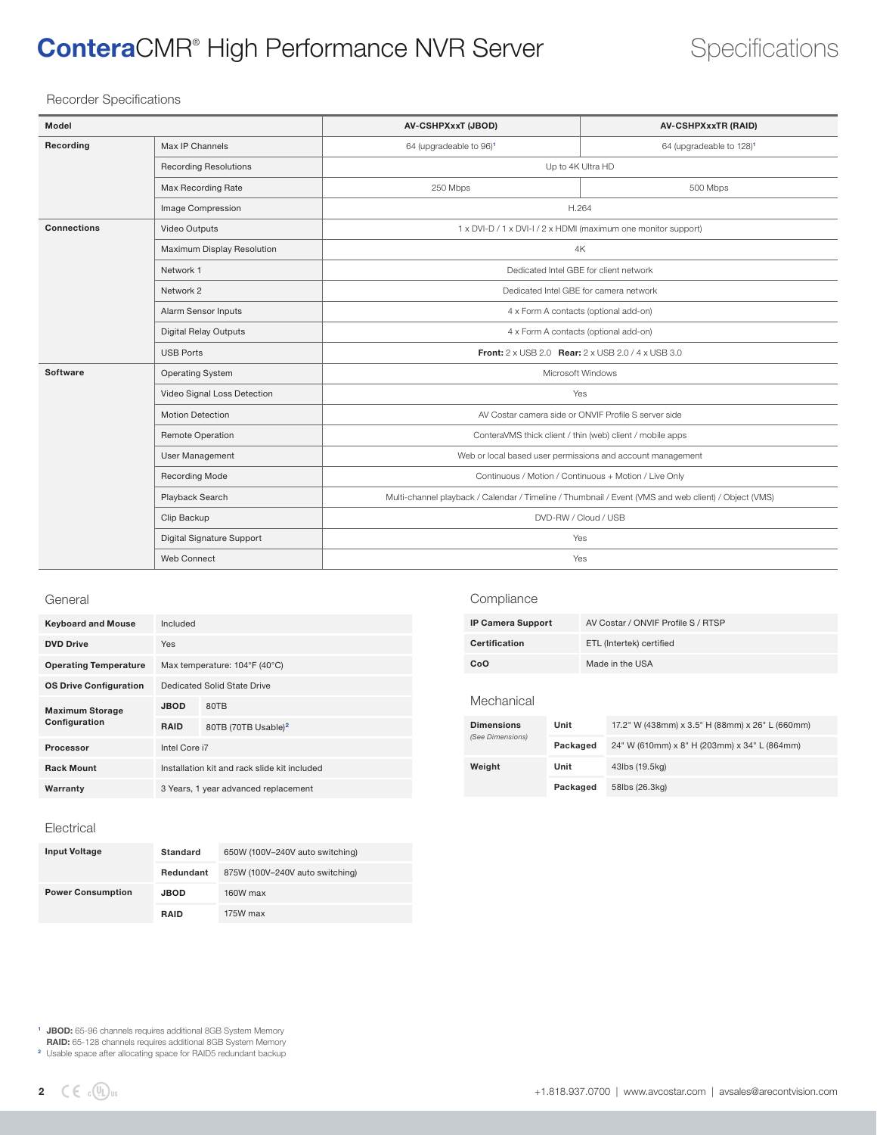## **ConteraCMR<sup>®</sup> High Performance NVR Server Specifications**

#### Recorder Specifications

| Model              |                              | <b>AV-CSHPXxxT (JBOD)</b>                                                                            | <b>AV-CSHPXxxTR (RAID)</b>           |  |
|--------------------|------------------------------|------------------------------------------------------------------------------------------------------|--------------------------------------|--|
| Recording          | Max IP Channels              | 64 (upgradeable to 96) <sup>1</sup>                                                                  | 64 (upgradeable to 128) <sup>1</sup> |  |
|                    | <b>Recording Resolutions</b> | Up to 4K Ultra HD                                                                                    |                                      |  |
|                    | Max Recording Rate           | 250 Mbps                                                                                             | 500 Mbps                             |  |
|                    | Image Compression            | H.264                                                                                                |                                      |  |
| <b>Connections</b> | Video Outputs                | 1 x DVI-D / 1 x DVI-I / 2 x HDMI (maximum one monitor support)                                       |                                      |  |
|                    | Maximum Display Resolution   | 4K                                                                                                   |                                      |  |
|                    | Network 1                    | Dedicated Intel GBE for client network                                                               |                                      |  |
|                    | Network 2                    | Dedicated Intel GBE for camera network                                                               |                                      |  |
|                    | Alarm Sensor Inputs          | 4 x Form A contacts (optional add-on)                                                                |                                      |  |
|                    | <b>Digital Relay Outputs</b> | 4 x Form A contacts (optional add-on)                                                                |                                      |  |
|                    | <b>USB Ports</b>             | <b>Front:</b> 2 x USB 2.0 <b>Rear:</b> 2 x USB 2.0 / 4 x USB 3.0                                     |                                      |  |
| Software           | <b>Operating System</b>      | Microsoft Windows                                                                                    |                                      |  |
|                    | Video Signal Loss Detection  | Yes                                                                                                  |                                      |  |
|                    | <b>Motion Detection</b>      | AV Costar camera side or ONVIF Profile S server side                                                 |                                      |  |
|                    | Remote Operation             | ConteraVMS thick client / thin (web) client / mobile apps                                            |                                      |  |
|                    | User Management              | Web or local based user permissions and account management                                           |                                      |  |
|                    | <b>Recording Mode</b>        | Continuous / Motion / Continuous + Motion / Live Only                                                |                                      |  |
|                    | Playback Search              | Multi-channel playback / Calendar / Timeline / Thumbnail / Event (VMS and web client) / Object (VMS) |                                      |  |
|                    | Clip Backup                  | DVD-RW / Cloud / USB                                                                                 |                                      |  |
|                    | Digital Signature Support    | Yes                                                                                                  |                                      |  |
|                    | Web Connect                  | Yes                                                                                                  |                                      |  |

#### General

| <b>Keyboard and Mouse</b>     | Included                                     |                                 |  |
|-------------------------------|----------------------------------------------|---------------------------------|--|
| <b>DVD Drive</b>              | <b>Yes</b>                                   |                                 |  |
| <b>Operating Temperature</b>  | Max temperature: 104°F (40°C)                |                                 |  |
| <b>OS Drive Configuration</b> | Dedicated Solid State Drive                  |                                 |  |
| <b>Maximum Storage</b>        | <b>JBOD</b>                                  | 80TB                            |  |
| Configuration                 | <b>RAID</b>                                  | 80TB (70TB Usable) <sup>2</sup> |  |
| Processor                     | Intel Core i7                                |                                 |  |
| <b>Rack Mount</b>             | Installation kit and rack slide kit included |                                 |  |
| Warranty                      | 3 Years, 1 year advanced replacement         |                                 |  |

### Compliance

| <b>IP Camera Support</b> | AV Costar / ONVIF Profile S / RTSP |
|--------------------------|------------------------------------|
| Certification            | ETL (Intertek) certified           |
| CoO                      | Made in the USA                    |

#### Mechanical

| <b>Dimensions</b><br>(See Dimensions) | Unit     | 17.2" W (438mm) x 3.5" H (88mm) x 26" L (660mm) |
|---------------------------------------|----------|-------------------------------------------------|
|                                       | Packaged | 24" W (610mm) x 8" H (203mm) x 34" L (864mm)    |
| Weight                                | Unit     | 43lbs (19.5kg)                                  |
|                                       | Packaged | 58lbs (26.3kg)                                  |

#### Electrical

| <b>Input Voltage</b>     | <b>Standard</b> | 650W (100V-240V auto switching) |
|--------------------------|-----------------|---------------------------------|
|                          | Redundant       | 875W (100V-240V auto switching) |
| <b>Power Consumption</b> | <b>JBOD</b>     | 160W max                        |
|                          | <b>RAID</b>     | 175W max                        |

<sup>1</sup> JBOD: 65-96 channels requires additional 8GB System Memory

RAID: 65-128 channels requires additional 8GB System Memory<br>2 Usable space after allocating space for RAID5 redundant backup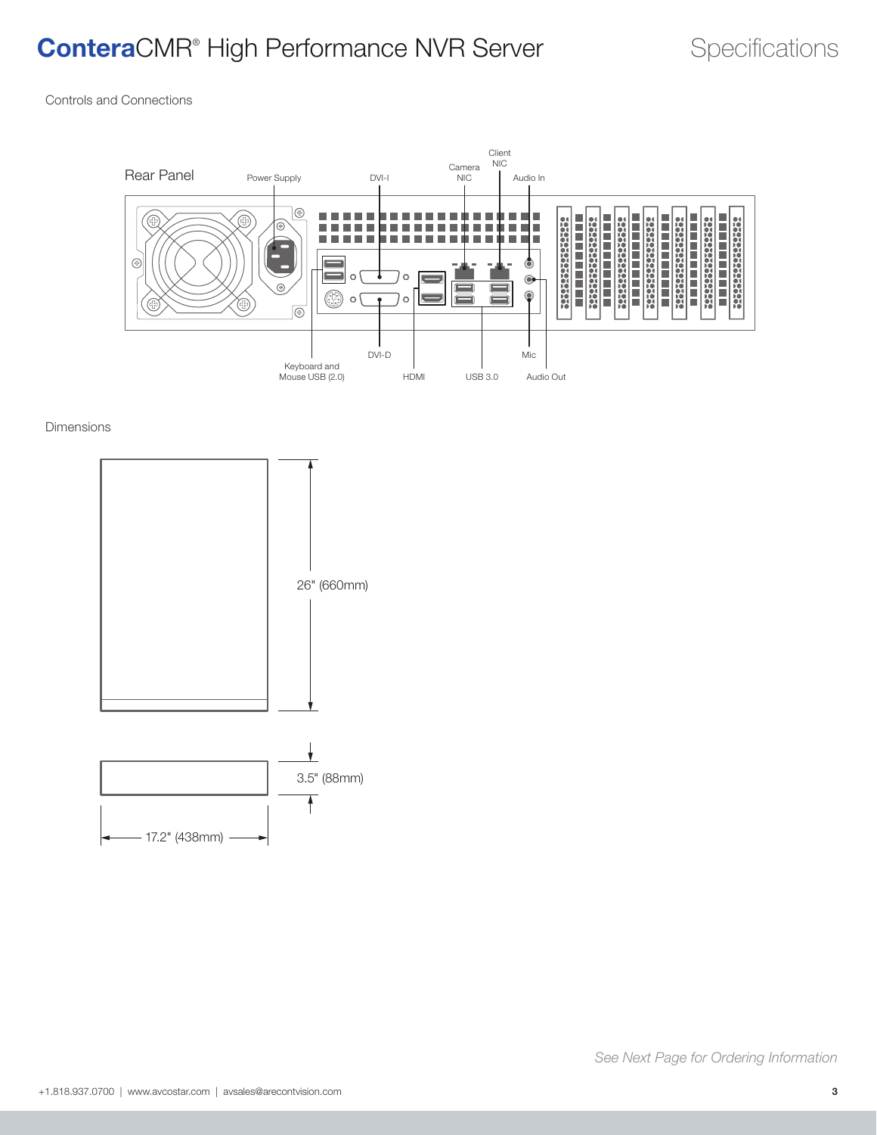## **ConteraCMR<sup>®</sup> High Performance NVR Server Specifications**

Controls and Connections



#### Dimensions